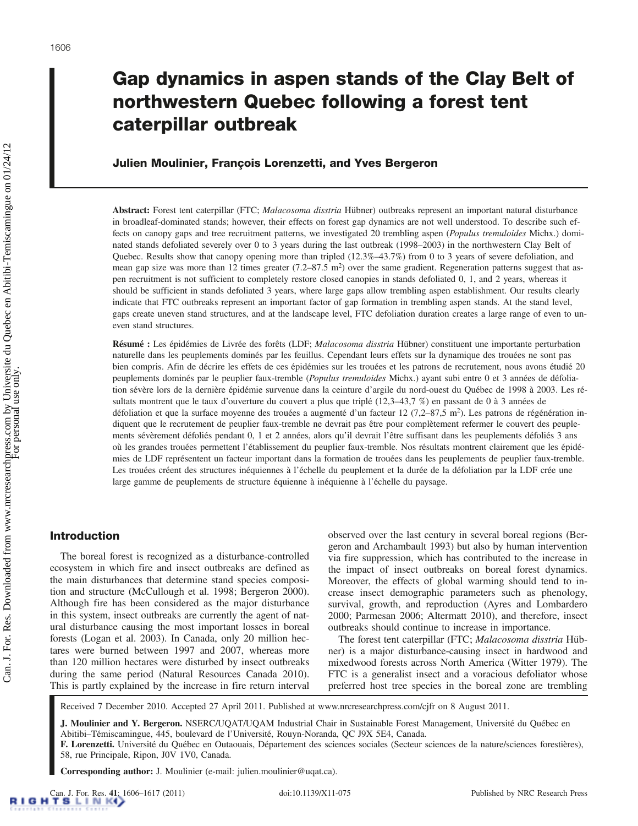# Gap dynamics in aspen stands of the Clay Belt of northwestern Quebec following a forest tent caterpillar outbreak

# Julien Moulinier, François Lorenzetti, and Yves Bergeron

Abstract: Forest tent caterpillar (FTC; Malacosoma disstria Hübner) outbreaks represent an important natural disturbance in broadleaf-dominated stands; however, their effects on forest gap dynamics are not well understood. To describe such effects on canopy gaps and tree recruitment patterns, we investigated 20 trembling aspen (Populus tremuloides Michx.) dominated stands defoliated severely over 0 to 3 years during the last outbreak (1998–2003) in the northwestern Clay Belt of Quebec. Results show that canopy opening more than tripled (12.3%–43.7%) from 0 to 3 years of severe defoliation, and mean gap size was more than 12 times greater  $(7.2–87.5 \text{ m}^2)$  over the same gradient. Regeneration patterns suggest that aspen recruitment is not sufficient to completely restore closed canopies in stands defoliated 0, 1, and 2 years, whereas it should be sufficient in stands defoliated 3 years, where large gaps allow trembling aspen establishment. Our results clearly indicate that FTC outbreaks represent an important factor of gap formation in trembling aspen stands. At the stand level, gaps create uneven stand structures, and at the landscape level, FTC defoliation duration creates a large range of even to uneven stand structures.

Résumé : Les épidémies de Livrée des forêts (LDF; Malacosoma disstria Hübner) constituent une importante perturbation naturelle dans les peuplements dominés par les feuillus. Cependant leurs effets sur la dynamique des trouées ne sont pas bien compris. Afin de décrire les effets de ces épidémies sur les trouées et les patrons de recrutement, nous avons étudié 20 peuplements dominés par le peuplier faux-tremble (Populus tremuloides Michx.) ayant subi entre 0 et 3 années de défoliation sévère lors de la dernière épidémie survenue dans la ceinture d'argile du nord-ouest du Québec de 1998 à 2003. Les résultats montrent que le taux d'ouverture du couvert a plus que triplé (12,3–43,7 %) en passant de 0 à 3 années de défoliation et que la surface moyenne des trouées a augmenté d'un facteur 12 (7,2–87,5 m<sup>2</sup>). Les patrons de régénération indiquent que le recrutement de peuplier faux-tremble ne devrait pas être pour complètement refermer le couvert des peuplements sévèrement défoliés pendant 0, 1 et 2 années, alors qu'il devrait l'être suffisant dans les peuplements défoliés 3 ans où les grandes trouées permettent l'établissement du peuplier faux-tremble. Nos résultats montrent clairement que les épidémies de LDF représentent un facteur important dans la formation de trouées dans les peuplements de peuplier faux-tremble. Les trouées créent des structures inéquiennes à l'échelle du peuplement et la durée de la défoliation par la LDF crée une large gamme de peuplements de structure équienne à inéquienne à l'échelle du paysage.

# Introduction

The boreal forest is recognized as a disturbance-controlled ecosystem in which fire and insect outbreaks are defined as the main disturbances that determine stand species composition and structure (McCullough et al. 1998; Bergeron 2000). Although fire has been considered as the major disturbance in this system, insect outbreaks are currently the agent of natural disturbance causing the most important losses in boreal forests (Logan et al. 2003). In Canada, only 20 million hectares were burned between 1997 and 2007, whereas more than 120 million hectares were disturbed by insect outbreaks during the same period (Natural Resources Canada 2010). This is partly explained by the increase in fire return interval observed over the last century in several boreal regions (Bergeron and Archambault 1993) but also by human intervention via fire suppression, which has contributed to the increase in the impact of insect outbreaks on boreal forest dynamics. Moreover, the effects of global warming should tend to increase insect demographic parameters such as phenology, survival, growth, and reproduction (Ayres and Lombardero 2000; Parmesan 2006; Altermatt 2010), and therefore, insect outbreaks should continue to increase in importance.

The forest tent caterpillar (FTC; Malacosoma disstria Hübner) is a major disturbance-causing insect in hardwood and mixedwood forests across North America (Witter 1979). The FTC is a generalist insect and a voracious defoliator whose preferred host tree species in the boreal zone are trembling

Received 7 December 2010. Accepted 27 April 2011. Published at www.nrcresearchpress.com/cjfr on 8 August 2011.

J. Moulinier and Y. Bergeron. NSERC/UQAT/UQAM Industrial Chair in Sustainable Forest Management, Université du Québec en Abitibi–Témiscamingue, 445, boulevard de l'Université, Rouyn-Noranda, QC J9X 5E4, Canada.

F. Lorenzetti. Université du Québec en Outaouais, Département des sciences sociales (Secteur sciences de la nature/sciences forestières), 58, rue Principale, Ripon, J0V 1V0, Canada.

Corresponding author: J. Moulinier (e-mail: julien.moulinier@uqat.ca).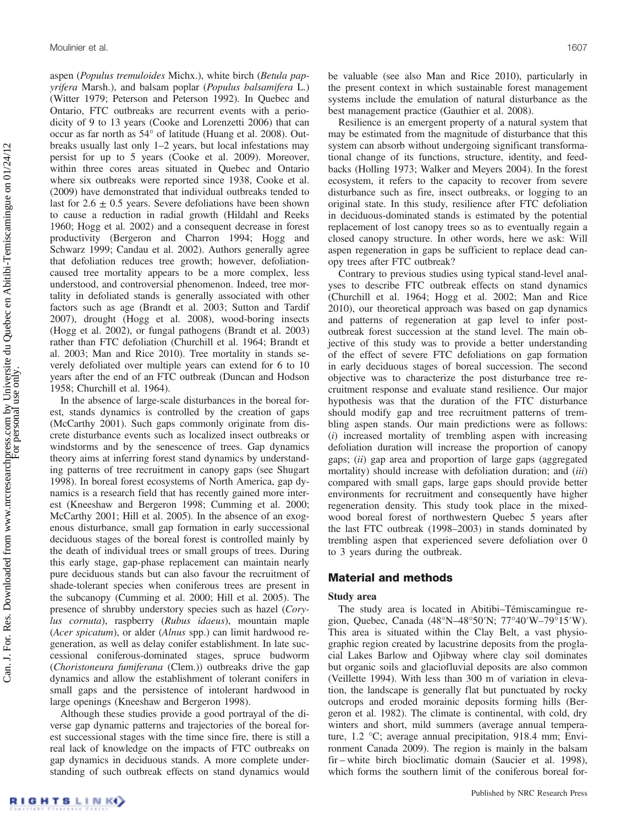aspen (Populus tremuloides Michx.), white birch (Betula papyrifera Marsh.), and balsam poplar (Populus balsamifera L.) (Witter 1979; Peterson and Peterson 1992). In Quebec and Ontario, FTC outbreaks are recurrent events with a periodicity of 9 to 13 years (Cooke and Lorenzetti 2006) that can occur as far north as 54° of latitude (Huang et al. 2008). Outbreaks usually last only 1–2 years, but local infestations may persist for up to 5 years (Cooke et al. 2009). Moreover, within three cores areas situated in Quebec and Ontario where six outbreaks were reported since 1938, Cooke et al. (2009) have demonstrated that individual outbreaks tended to last for  $2.6 \pm 0.5$  years. Severe defoliations have been shown to cause a reduction in radial growth (Hildahl and Reeks 1960; Hogg et al. 2002) and a consequent decrease in forest productivity (Bergeron and Charron 1994; Hogg and Schwarz 1999; Candau et al. 2002). Authors generally agree that defoliation reduces tree growth; however, defoliationcaused tree mortality appears to be a more complex, less understood, and controversial phenomenon. Indeed, tree mortality in defoliated stands is generally associated with other factors such as age (Brandt et al. 2003; Sutton and Tardif 2007), drought (Hogg et al. 2008), wood-boring insects (Hogg et al. 2002), or fungal pathogens (Brandt et al. 2003) rather than FTC defoliation (Churchill et al. 1964; Brandt et al. 2003; Man and Rice 2010). Tree mortality in stands severely defoliated over multiple years can extend for 6 to 10 years after the end of an FTC outbreak (Duncan and Hodson 1958; Churchill et al. 1964).

In the absence of large-scale disturbances in the boreal forest, stands dynamics is controlled by the creation of gaps (McCarthy 2001). Such gaps commonly originate from discrete disturbance events such as localized insect outbreaks or windstorms and by the senescence of trees. Gap dynamics theory aims at inferring forest stand dynamics by understanding patterns of tree recruitment in canopy gaps (see Shugart 1998). In boreal forest ecosystems of North America, gap dynamics is a research field that has recently gained more interest (Kneeshaw and Bergeron 1998; Cumming et al. 2000; McCarthy 2001; Hill et al. 2005). In the absence of an exogenous disturbance, small gap formation in early successional deciduous stages of the boreal forest is controlled mainly by the death of individual trees or small groups of trees. During this early stage, gap-phase replacement can maintain nearly pure deciduous stands but can also favour the recruitment of shade-tolerant species when coniferous trees are present in the subcanopy (Cumming et al. 2000; Hill et al. 2005). The presence of shrubby understory species such as hazel (Corylus cornuta), raspberry (Rubus idaeus), mountain maple (Acer spicatum), or alder (Alnus spp.) can limit hardwood regeneration, as well as delay conifer establishment. In late successional coniferous-dominated stages, spruce budworm (Choristoneura fumiferana (Clem.)) outbreaks drive the gap dynamics and allow the establishment of tolerant conifers in small gaps and the persistence of intolerant hardwood in large openings (Kneeshaw and Bergeron 1998).

Although these studies provide a good portrayal of the diverse gap dynamic patterns and trajectories of the boreal forest successional stages with the time since fire, there is still a real lack of knowledge on the impacts of FTC outbreaks on gap dynamics in deciduous stands. A more complete understanding of such outbreak effects on stand dynamics would be valuable (see also Man and Rice 2010), particularly in the present context in which sustainable forest management systems include the emulation of natural disturbance as the best management practice (Gauthier et al. 2008).

Resilience is an emergent property of a natural system that may be estimated from the magnitude of disturbance that this system can absorb without undergoing significant transformational change of its functions, structure, identity, and feedbacks (Holling 1973; Walker and Meyers 2004). In the forest ecosystem, it refers to the capacity to recover from severe disturbance such as fire, insect outbreaks, or logging to an original state. In this study, resilience after FTC defoliation in deciduous-dominated stands is estimated by the potential replacement of lost canopy trees so as to eventually regain a closed canopy structure. In other words, here we ask: Will aspen regeneration in gaps be sufficient to replace dead canopy trees after FTC outbreak?

Contrary to previous studies using typical stand-level analyses to describe FTC outbreak effects on stand dynamics (Churchill et al. 1964; Hogg et al. 2002; Man and Rice 2010), our theoretical approach was based on gap dynamics and patterns of regeneration at gap level to infer postoutbreak forest succession at the stand level. The main objective of this study was to provide a better understanding of the effect of severe FTC defoliations on gap formation in early deciduous stages of boreal succession. The second objective was to characterize the post disturbance tree recruitment response and evaluate stand resilience. Our major hypothesis was that the duration of the FTC disturbance should modify gap and tree recruitment patterns of trembling aspen stands. Our main predictions were as follows: (i) increased mortality of trembling aspen with increasing defoliation duration will increase the proportion of canopy gaps; (ii) gap area and proportion of large gaps (aggregated mortality) should increase with defoliation duration; and (iii) compared with small gaps, large gaps should provide better environments for recruitment and consequently have higher regeneration density. This study took place in the mixedwood boreal forest of northwestern Quebec 5 years after the last FTC outbreak (1998–2003) in stands dominated by trembling aspen that experienced severe defoliation over 0 to 3 years during the outbreak.

### Material and methods

#### Study area

The study area is located in Abitibi–Témiscamingue region, Quebec, Canada (48°N–48°50′N; 77°40′W–79°15′W). This area is situated within the Clay Belt, a vast physiographic region created by lacustrine deposits from the proglacial Lakes Barlow and Ojibway where clay soil dominates but organic soils and glaciofluvial deposits are also common (Veillette 1994). With less than 300 m of variation in elevation, the landscape is generally flat but punctuated by rocky outcrops and eroded morainic deposits forming hills (Bergeron et al. 1982). The climate is continental, with cold, dry winters and short, mild summers (average annual temperature, 1.2 °C; average annual precipitation, 918.4 mm; Environment Canada 2009). The region is mainly in the balsam fir – white birch bioclimatic domain (Saucier et al. 1998), which forms the southern limit of the coniferous boreal for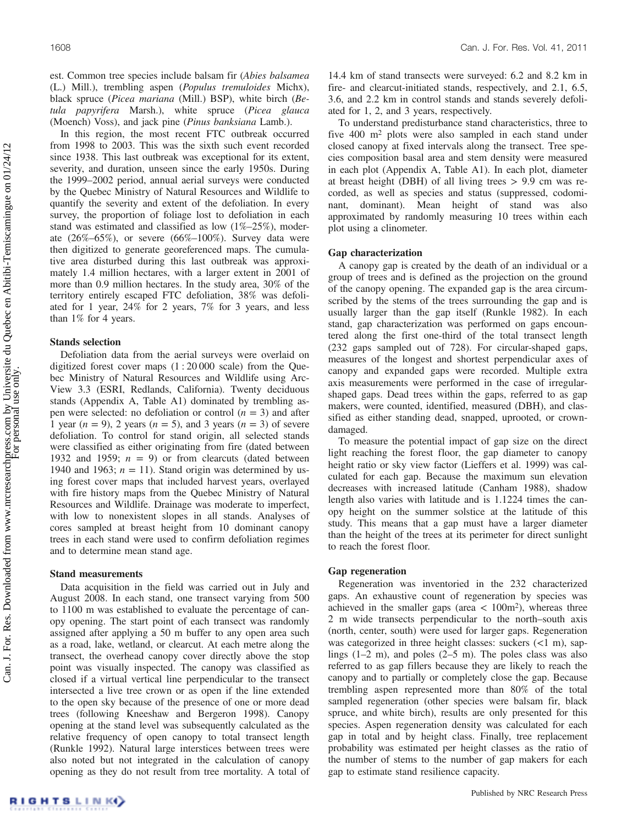est. Common tree species include balsam fir (Abies balsamea (L.) Mill.), trembling aspen (Populus tremuloides Michx), black spruce (Picea mariana (Mill.) BSP), white birch (Betula papyrifera Marsh.), white spruce (Picea glauca (Moench) Voss), and jack pine (Pinus banksiana Lamb.).

In this region, the most recent FTC outbreak occurred from 1998 to 2003. This was the sixth such event recorded since 1938. This last outbreak was exceptional for its extent, severity, and duration, unseen since the early 1950s. During the 1999–2002 period, annual aerial surveys were conducted by the Quebec Ministry of Natural Resources and Wildlife to quantify the severity and extent of the defoliation. In every survey, the proportion of foliage lost to defoliation in each stand was estimated and classified as low (1%–25%), moderate  $(26\% - 65\%)$ , or severe  $(66\% - 100\%)$ . Survey data were then digitized to generate georeferenced maps. The cumulative area disturbed during this last outbreak was approximately 1.4 million hectares, with a larger extent in 2001 of more than 0.9 million hectares. In the study area, 30% of the territory entirely escaped FTC defoliation, 38% was defoliated for 1 year, 24% for 2 years, 7% for 3 years, and less than 1% for 4 years.

#### Stands selection

Defoliation data from the aerial surveys were overlaid on digitized forest cover maps (1 : 20 000 scale) from the Quebec Ministry of Natural Resources and Wildlife using Arc-View 3.3 (ESRI, Redlands, California). Twenty deciduous stands (Appendix A, Table A1) dominated by trembling aspen were selected: no defoliation or control  $(n = 3)$  and after 1 year  $(n = 9)$ , 2 years  $(n = 5)$ , and 3 years  $(n = 3)$  of severe defoliation. To control for stand origin, all selected stands were classified as either originating from fire (dated between 1932 and 1959;  $n = 9$ ) or from clearcuts (dated between 1940 and 1963;  $n = 11$ ). Stand origin was determined by using forest cover maps that included harvest years, overlayed with fire history maps from the Quebec Ministry of Natural Resources and Wildlife. Drainage was moderate to imperfect, with low to nonexistent slopes in all stands. Analyses of cores sampled at breast height from 10 dominant canopy trees in each stand were used to confirm defoliation regimes and to determine mean stand age.

#### Stand measurements

Data acquisition in the field was carried out in July and August 2008. In each stand, one transect varying from 500 to 1100 m was established to evaluate the percentage of canopy opening. The start point of each transect was randomly assigned after applying a 50 m buffer to any open area such as a road, lake, wetland, or clearcut. At each metre along the transect, the overhead canopy cover directly above the stop point was visually inspected. The canopy was classified as closed if a virtual vertical line perpendicular to the transect intersected a live tree crown or as open if the line extended to the open sky because of the presence of one or more dead trees (following Kneeshaw and Bergeron 1998). Canopy opening at the stand level was subsequently calculated as the relative frequency of open canopy to total transect length (Runkle 1992). Natural large interstices between trees were also noted but not integrated in the calculation of canopy opening as they do not result from tree mortality. A total of

14.4 km of stand transects were surveyed: 6.2 and 8.2 km in fire- and clearcut-initiated stands, respectively, and 2.1, 6.5, 3.6, and 2.2 km in control stands and stands severely defoliated for 1, 2, and 3 years, respectively.

To understand predisturbance stand characteristics, three to five  $400 \text{ m}^2$  plots were also sampled in each stand under closed canopy at fixed intervals along the transect. Tree species composition basal area and stem density were measured in each plot (Appendix A, Table A1). In each plot, diameter at breast height (DBH) of all living trees > 9.9 cm was recorded, as well as species and status (suppressed, codominant, dominant). Mean height of stand was also approximated by randomly measuring 10 trees within each plot using a clinometer.

#### Gap characterization

A canopy gap is created by the death of an individual or a group of trees and is defined as the projection on the ground of the canopy opening. The expanded gap is the area circumscribed by the stems of the trees surrounding the gap and is usually larger than the gap itself (Runkle 1982). In each stand, gap characterization was performed on gaps encountered along the first one-third of the total transect length (232 gaps sampled out of 728). For circular-shaped gaps, measures of the longest and shortest perpendicular axes of canopy and expanded gaps were recorded. Multiple extra axis measurements were performed in the case of irregularshaped gaps. Dead trees within the gaps, referred to as gap makers, were counted, identified, measured (DBH), and classified as either standing dead, snapped, uprooted, or crowndamaged.

To measure the potential impact of gap size on the direct light reaching the forest floor, the gap diameter to canopy height ratio or sky view factor (Lieffers et al. 1999) was calculated for each gap. Because the maximum sun elevation decreases with increased latitude (Canham 1988), shadow length also varies with latitude and is 1.1224 times the canopy height on the summer solstice at the latitude of this study. This means that a gap must have a larger diameter than the height of the trees at its perimeter for direct sunlight to reach the forest floor.

#### Gap regeneration

Regeneration was inventoried in the 232 characterized gaps. An exhaustive count of regeneration by species was achieved in the smaller gaps (area  $< 100 \text{m}^2$ ), whereas three 2 m wide transects perpendicular to the north–south axis (north, center, south) were used for larger gaps. Regeneration was categorized in three height classes: suckers  $(<1$  m), saplings (1–2 m), and poles (2–5 m). The poles class was also referred to as gap fillers because they are likely to reach the canopy and to partially or completely close the gap. Because trembling aspen represented more than 80% of the total sampled regeneration (other species were balsam fir, black spruce, and white birch), results are only presented for this species. Aspen regeneration density was calculated for each gap in total and by height class. Finally, tree replacement probability was estimated per height classes as the ratio of the number of stems to the number of gap makers for each gap to estimate stand resilience capacity.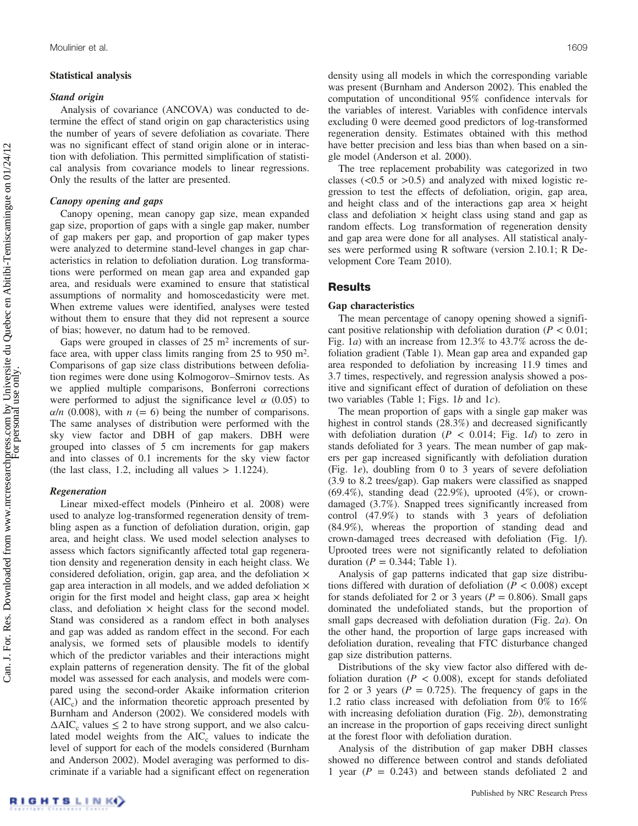#### Statistical analysis

#### Stand origin

Analysis of covariance (ANCOVA) was conducted to determine the effect of stand origin on gap characteristics using the number of years of severe defoliation as covariate. There was no significant effect of stand origin alone or in interaction with defoliation. This permitted simplification of statistical analysis from covariance models to linear regressions. Only the results of the latter are presented.

#### Canopy opening and gaps

Canopy opening, mean canopy gap size, mean expanded gap size, proportion of gaps with a single gap maker, number of gap makers per gap, and proportion of gap maker types were analyzed to determine stand-level changes in gap characteristics in relation to defoliation duration. Log transformations were performed on mean gap area and expanded gap area, and residuals were examined to ensure that statistical assumptions of normality and homoscedasticity were met. When extreme values were identified, analyses were tested without them to ensure that they did not represent a source of bias; however, no datum had to be removed.

Gaps were grouped in classes of  $25 \text{ m}^2$  increments of surface area, with upper class limits ranging from 25 to 950 m2. Comparisons of gap size class distributions between defoliation regimes were done using Kolmogorov–Smirnov tests. As we applied multiple comparisons, Bonferroni corrections were performed to adjust the significance level  $\alpha$  (0.05) to  $\alpha/n$  (0.008), with  $n (= 6)$  being the number of comparisons. The same analyses of distribution were performed with the sky view factor and DBH of gap makers. DBH were grouped into classes of 5 cm increments for gap makers and into classes of 0.1 increments for the sky view factor (the last class, 1.2, including all values  $> 1.1224$ ).

#### Regeneration

Linear mixed-effect models (Pinheiro et al. 2008) were used to analyze log-transformed regeneration density of trembling aspen as a function of defoliation duration, origin, gap area, and height class. We used model selection analyses to assess which factors significantly affected total gap regeneration density and regeneration density in each height class. We considered defoliation, origin, gap area, and the defoliation  $\times$ gap area interaction in all models, and we added defoliation  $\times$ origin for the first model and height class, gap area  $\times$  height class, and defoliation  $\times$  height class for the second model. Stand was considered as a random effect in both analyses and gap was added as random effect in the second. For each analysis, we formed sets of plausible models to identify which of the predictor variables and their interactions might explain patterns of regeneration density. The fit of the global model was assessed for each analysis, and models were compared using the second-order Akaike information criterion  $(AIC<sub>c</sub>)$  and the information theoretic approach presented by Burnham and Anderson (2002). We considered models with  $\Delta AIC_c$  values  $\leq 2$  to have strong support, and we also calculated model weights from the  $AIC_c$  values to indicate the level of support for each of the models considered (Burnham and Anderson 2002). Model averaging was performed to discriminate if a variable had a significant effect on regeneration density using all models in which the corresponding variable was present (Burnham and Anderson 2002). This enabled the computation of unconditional 95% confidence intervals for the variables of interest. Variables with confidence intervals excluding 0 were deemed good predictors of log-transformed regeneration density. Estimates obtained with this method have better precision and less bias than when based on a single model (Anderson et al. 2000).

The tree replacement probability was categorized in two classes  $( $0.5 \text{ or } >0.5$ ) and analyzed with mixed logistic re$ gression to test the effects of defoliation, origin, gap area, and height class and of the interactions gap area  $\times$  height class and defoliation  $\times$  height class using stand and gap as random effects. Log transformation of regeneration density and gap area were done for all analyses. All statistical analyses were performed using R software (version 2.10.1; R Development Core Team 2010).

#### Results

#### Gap characteristics

The mean percentage of canopy opening showed a significant positive relationship with defoliation duration ( $P < 0.01$ ; Fig. 1a) with an increase from 12.3% to 43.7% across the defoliation gradient (Table 1). Mean gap area and expanded gap area responded to defoliation by increasing 11.9 times and 3.7 times, respectively, and regression analysis showed a positive and significant effect of duration of defoliation on these two variables (Table 1; Figs.  $1b$  and  $1c$ ).

The mean proportion of gaps with a single gap maker was highest in control stands (28.3%) and decreased significantly with defoliation duration ( $P < 0.014$ ; Fig. 1d) to zero in stands defoliated for 3 years. The mean number of gap makers per gap increased significantly with defoliation duration (Fig. 1e), doubling from 0 to 3 years of severe defoliation (3.9 to 8.2 trees/gap). Gap makers were classified as snapped  $(69.4\%)$ , standing dead  $(22.9\%)$ , uprooted  $(4\%)$ , or crowndamaged (3.7%). Snapped trees significantly increased from control (47.9%) to stands with 3 years of defoliation (84.9%), whereas the proportion of standing dead and crown-damaged trees decreased with defoliation (Fig. 1f). Uprooted trees were not significantly related to defoliation duration ( $P = 0.344$ ; Table 1).

Analysis of gap patterns indicated that gap size distributions differed with duration of defoliation ( $P < 0.008$ ) except for stands defoliated for 2 or 3 years ( $P = 0.806$ ). Small gaps dominated the undefoliated stands, but the proportion of small gaps decreased with defoliation duration (Fig. 2a). On the other hand, the proportion of large gaps increased with defoliation duration, revealing that FTC disturbance changed gap size distribution patterns.

Distributions of the sky view factor also differed with defoliation duration ( $P < 0.008$ ), except for stands defoliated for 2 or 3 years ( $P = 0.725$ ). The frequency of gaps in the 1.2 ratio class increased with defoliation from 0% to 16% with increasing defoliation duration (Fig. 2b), demonstrating an increase in the proportion of gaps receiving direct sunlight at the forest floor with defoliation duration.

Analysis of the distribution of gap maker DBH classes showed no difference between control and stands defoliated 1 year  $(P = 0.243)$  and between stands defoliated 2 and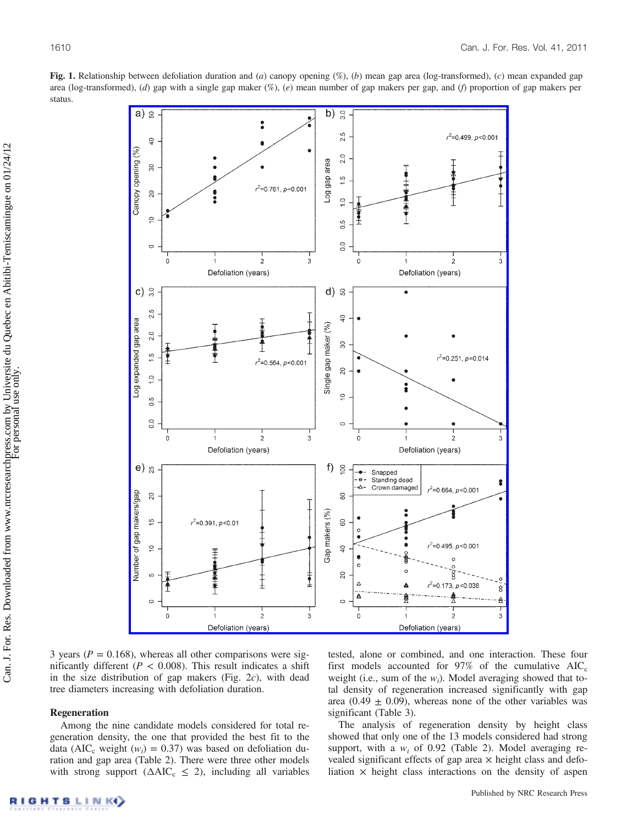a) $\frac{1}{5}$ b)  $\frac{6}{50}$  $\ddot{\bullet}$  $2.5\,$  $r^2$ =0.499, p<0.001  $\overline{40}$ Canopy opening (%)  $2.0$ Log gap area 8  $\frac{5}{1}$  $r^2$ =0.761,  $p$ <0.001  $\overline{20}$  $\frac{1}{2}$  $\ddot{\ddag}$  $\tilde{c}$  $0.5$  $0.0$  $\sim$  $\Omega$  $\overline{c}$  $\Omega$  $\overline{c}$ 3 3 Defoliation (years) Defoliation (years) c)  $\frac{6}{10}$ d)  $\mathbb{S}$ 2.5  $\overline{4}$ Log expanded gap area Single gap maker (%)  $2.0$  $\overline{30}$  $\frac{10}{10}$  $r^2$ =0.251,  $p$ =0.014  $r^2$ =0.564,  $p$ <0.001  $\gtrsim$  $\frac{0}{1}$  $\ddot{\phantom{a}}$  $\approx$  $\overline{0.5}$  $\frac{0}{0}$  $\epsilon$  $\frac{1}{2}$  $\overline{3}$  $\mathbf 0$ Defoliation (years) Defoliation (years) e)  $\frac{1}{2}$  $f)$  $\overline{5}$ Snapped  $\ddot{\theta}$  – Standing dead 8 Crown damaged -4 $r^2$ =0.664,  $p$ <0.001 Number of gap makers/gap  $\overline{c}$ 8 : Gap makers (%)  $\frac{16}{2}$  $\mathbb{S}^0$  $r^2$ =0.391, p<0.01  $\circ$  $r^2$ =0.495,  $p$ <0.001  $\frac{1}{2}$  $\Rightarrow$  $\bullet$  $\circ$  $\circ$ အိ၀  $\circ$ 20 Ю  $\ddagger$ I  $\circ$  $\Delta$ Δ  $r^2$ =0.173, p<0.038 1 8 Ä 食 ≜ €  $\subset$  $\circ$  $\frac{1}{2}$  $\frac{1}{2}$  $\overline{3}$  $\mathbf 0$  $\mathbf 0$  $\mathbf{1}$ 3 Defoliation (years) Defoliation (years)

Fig. 1. Relationship between defoliation duration and (a) canopy opening  $(\%)$ , (b) mean gap area (log-transformed), (c) mean expanded gap area (log-transformed), (d) gap with a single gap maker (%), (e) mean number of gap makers per gap, and (f) proportion of gap makers per status.

3 years ( $P = 0.168$ ), whereas all other comparisons were significantly different ( $P < 0.008$ ). This result indicates a shift in the size distribution of gap makers (Fig.  $2c$ ), with dead tree diameters increasing with defoliation duration.

#### Regeneration

Among the nine candidate models considered for total regeneration density, the one that provided the best fit to the data (AIC<sub>c</sub> weight  $(w_i) = 0.37$ ) was based on defoliation duration and gap area (Table 2). There were three other models with strong support ( $\triangle AIC_c \leq 2$ ), including all variables tested, alone or combined, and one interaction. These four first models accounted for 97% of the cumulative  $AIC_c$ weight (i.e., sum of the  $w_i$ ). Model averaging showed that total density of regeneration increased significantly with gap area (0.49  $\pm$  0.09), whereas none of the other variables was significant (Table 3).

The analysis of regeneration density by height class showed that only one of the 13 models considered had strong support, with a  $w_i$  of 0.92 (Table 2). Model averaging revealed significant effects of gap area  $\times$  height class and defoliation  $\times$  height class interactions on the density of aspen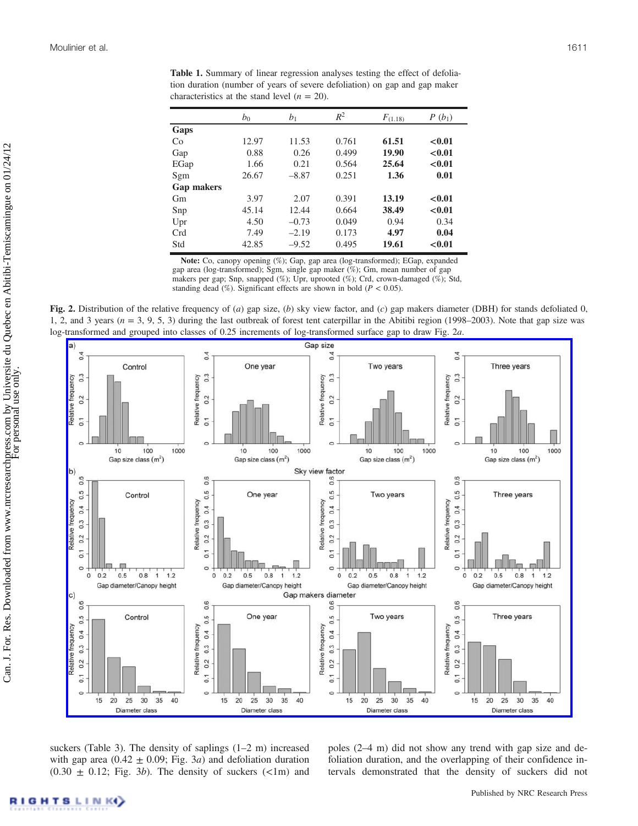Moulinier et al. 1611

Table 1. Summary of linear regression analyses testing the effect of defoliation duration (number of years of severe defoliation) on gap and gap maker characteristics at the stand level ( $n = 20$ ).

|            | $b_0$ | $b_1$   | $R^2$ | $F_{(1.18)}$ | $P(b_1)$ |
|------------|-------|---------|-------|--------------|----------|
| Gaps       |       |         |       |              |          |
| Co         | 12.97 | 11.53   | 0.761 | 61.51        | < 0.01   |
| Gap        | 0.88  | 0.26    | 0.499 | 19.90        | < 0.01   |
| EGap       | 1.66  | 0.21    | 0.564 | 25.64        | < 0.01   |
| Sgm        | 26.67 | $-8.87$ | 0.251 | 1.36         | 0.01     |
| Gap makers |       |         |       |              |          |
| Gm         | 3.97  | 2.07    | 0.391 | 13.19        | < 0.01   |
| Snp        | 45.14 | 12.44   | 0.664 | 38.49        | < 0.01   |
| Upr        | 4.50  | $-0.73$ | 0.049 | 0.94         | 0.34     |
| Crd        | 7.49  | $-2.19$ | 0.173 | 4.97         | 0.04     |
| Std        | 42.85 | $-9.52$ | 0.495 | 19.61        | < 0.01   |

Note: Co, canopy opening (%); Gap, gap area (log-transformed); EGap, expanded gap area (log-transformed); Sgm, single gap maker (%); Gm, mean number of gap makers per gap; Snp, snapped (%); Upr, uprooted (%); Crd, crown-damaged (%); Std, standing dead  $(\%)$ . Significant effects are shown in bold ( $P < 0.05$ ).

Fig. 2. Distribution of the relative frequency of (a) gap size, (b) sky view factor, and (c) gap makers diameter (DBH) for stands defoliated 0, 1, 2, and 3 years  $(n = 3, 9, 5, 3)$  during the last outbreak of forest tent caterpillar in the Abitibi region (1998–2003). Note that gap size was log-transformed and grouped into classes of 0.25 increments of log-transformed surface gap to draw Fig. 2a.



suckers (Table 3). The density of saplings (1–2 m) increased with gap area (0.42  $\pm$  0.09; Fig. 3*a*) and defoliation duration  $(0.30 \pm 0.12;$  Fig. 3b). The density of suckers  $(\langle 1m \rangle)$  and

poles (2–4 m) did not show any trend with gap size and defoliation duration, and the overlapping of their confidence intervals demonstrated that the density of suckers did not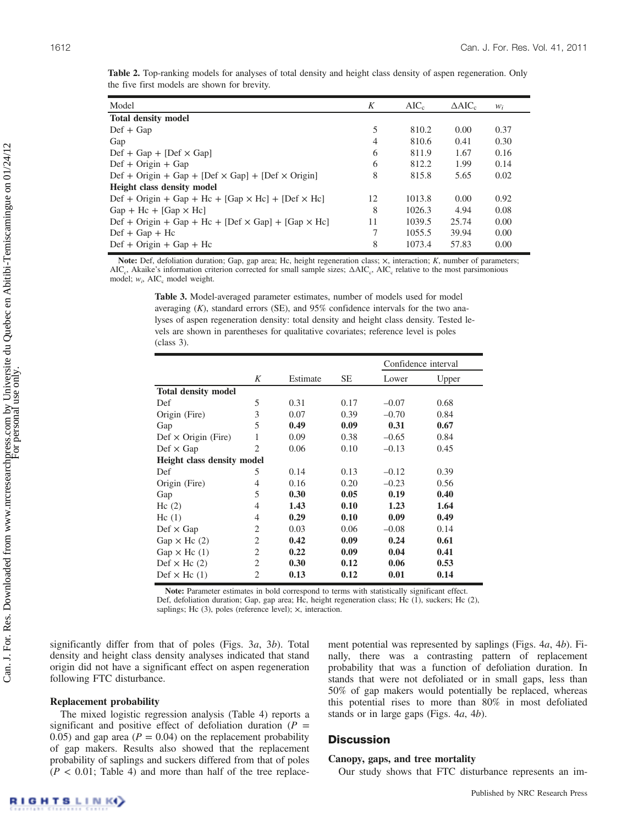| Model                                                          | K  | $AIC_c$ | $\triangle AIC_c$ | Wi   |
|----------------------------------------------------------------|----|---------|-------------------|------|
| <b>Total density model</b>                                     |    |         |                   |      |
| $Def + Gap$                                                    | 5  | 810.2   | 0.00              | 0.37 |
| Gap                                                            | 4  | 810.6   | 0.41              | 0.30 |
| $Def + Gap + [Def \times Gap]$                                 | 6  | 811.9   | 1.67              | 0.16 |
| $Def + Origin + Gap$                                           | 6  | 812.2   | 1.99              | 0.14 |
| $Def + Origin + Gap + [Def \times Gap + [Def \times Origin]$   | 8  | 815.8   | 5.65              | 0.02 |
| Height class density model                                     |    |         |                   |      |
| $Def + Origin + Gap + Hc + [Gap \times He] + [Def \times He]$  | 12 | 1013.8  | 0.00              | 0.92 |
| $Gap + Hc + [Gap \times Hc]$                                   | 8  | 1026.3  | 4.94              | 0.08 |
| $Def + Origin + Gap + Hc + [Def \times Gap] + [Gap \times He]$ | 11 | 1039.5  | 25.74             | 0.00 |
| $Def + Gap + Hc$                                               | 7  | 1055.5  | 39.94             | 0.00 |
| $Def + Origin + Gap + Hc$                                      | 8  | 1073.4  | 57.83             | 0.00 |

Table 2. Top-ranking models for analyses of total density and height class density of aspen regeneration. Only the five first models are shown for brevity.

Note: Def, defoliation duration; Gap, gap area; Hc, height regeneration class;  $\times$ , interaction; K, number of parameters;  $AIC_c$ , Akaike's information criterion corrected for small sample sizes;  $\triangle AIC_c$ ,  $AIC_c$  relative to the most parsimonious model;  $w_i$ , AIC<sub>c</sub> model weight.

> Table 3. Model-averaged parameter estimates, number of models used for model averaging  $(K)$ , standard errors  $(SE)$ , and  $95\%$  confidence intervals for the two analyses of aspen regeneration density: total density and height class density. Tested levels are shown in parentheses for qualitative covariates; reference level is poles (class 3).

|                                   |                |          |      | Confidence interval |       |
|-----------------------------------|----------------|----------|------|---------------------|-------|
|                                   | K              | Estimate | SE.  | Lower               | Upper |
| <b>Total density model</b>        |                |          |      |                     |       |
| Def                               | 5              | 0.31     | 0.17 | $-0.07$             | 0.68  |
| Origin (Fire)                     | 3              | 0.07     | 0.39 | $-0.70$             | 0.84  |
| Gap                               | 5              | 0.49     | 0.09 | 0.31                | 0.67  |
| $Def \times Origin$ (Fire)        | 1              | 0.09     | 0.38 | $-0.65$             | 0.84  |
| $Def \times Gap$                  | $\overline{c}$ | 0.06     | 0.10 | $-0.13$             | 0.45  |
| <b>Height class density model</b> |                |          |      |                     |       |
| Def                               | 5              | 0.14     | 0.13 | $-0.12$             | 0.39  |
| Origin (Fire)                     | 4              | 0.16     | 0.20 | $-0.23$             | 0.56  |
| Gap                               | 5              | 0.30     | 0.05 | 0.19                | 0.40  |
| Hc(2)                             | 4              | 1.43     | 0.10 | 1.23                | 1.64  |
| Hc(1)                             | $\overline{4}$ | 0.29     | 0.10 | 0.09                | 0.49  |
| $Def \times Gap$                  | $\overline{c}$ | 0.03     | 0.06 | $-0.08$             | 0.14  |
| Gap $\times$ Hc (2)               | $\overline{c}$ | 0.42     | 0.09 | 0.24                | 0.61  |
| Gap $\times$ Hc (1)               | 2              | 0.22     | 0.09 | 0.04                | 0.41  |
| Def $\times$ Hc (2)               | $\overline{c}$ | 0.30     | 0.12 | 0.06                | 0.53  |
| Def $\times$ Hc (1)               | 2              | 0.13     | 0.12 | 0.01                | 0.14  |

Note: Parameter estimates in bold correspond to terms with statistically significant effect. Def, defoliation duration; Gap, gap area; Hc, height regeneration class; Hc (1), suckers; Hc (2), saplings; Hc  $(3)$ , poles (reference level);  $\times$ , interaction.

significantly differ from that of poles (Figs. 3a, 3b). Total density and height class density analyses indicated that stand origin did not have a significant effect on aspen regeneration following FTC disturbance.

#### Replacement probability

The mixed logistic regression analysis (Table 4) reports a significant and positive effect of defoliation duration  $(P =$ 0.05) and gap area ( $P = 0.04$ ) on the replacement probability of gap makers. Results also showed that the replacement probability of saplings and suckers differed from that of poles  $(P < 0.01$ ; Table 4) and more than half of the tree replacement potential was represented by saplings (Figs. 4a, 4b). Finally, there was a contrasting pattern of replacement probability that was a function of defoliation duration. In stands that were not defoliated or in small gaps, less than 50% of gap makers would potentially be replaced, whereas this potential rises to more than 80% in most defoliated stands or in large gaps (Figs. 4a, 4b).

#### **Discussion**

#### Canopy, gaps, and tree mortality

Our study shows that FTC disturbance represents an im-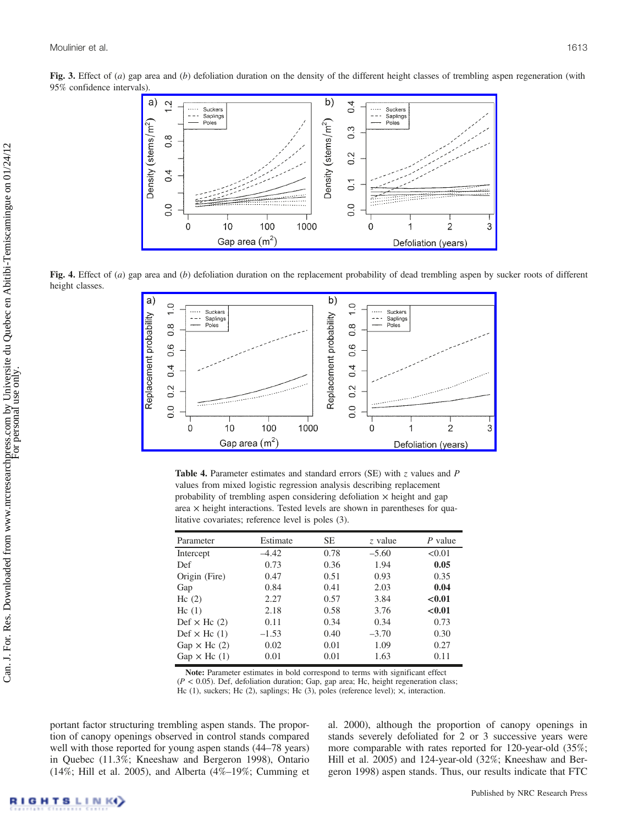



Fig. 4. Effect of (a) gap area and (b) defoliation duration on the replacement probability of dead trembling aspen by sucker roots of different height classes.



**Table 4.** Parameter estimates and standard errors (SE) with  $z$  values and  $P$ values from mixed logistic regression analysis describing replacement probability of trembling aspen considering defoliation  $\times$  height and gap area  $\times$  height interactions. Tested levels are shown in parentheses for qualitative covariates; reference level is poles (3).

| Parameter           | Estimate | SE.  | z value | $P$ value |
|---------------------|----------|------|---------|-----------|
| Intercept           | $-4.42$  | 0.78 | $-5.60$ | < 0.01    |
| Def                 | 0.73     | 0.36 | 1.94    | 0.05      |
| Origin (Fire)       | 0.47     | 0.51 | 0.93    | 0.35      |
| Gap                 | 0.84     | 0.41 | 2.03    | 0.04      |
| Hc(2)               | 2.27     | 0.57 | 3.84    | < 0.01    |
| Hc(1)               | 2.18     | 0.58 | 3.76    | < 0.01    |
| Def $\times$ Hc (2) | 0.11     | 0.34 | 0.34    | 0.73      |
| Def $\times$ Hc (1) | $-1.53$  | 0.40 | $-3.70$ | 0.30      |
| Gap $\times$ Hc (2) | 0.02     | 0.01 | 1.09    | 0.27      |
| Gap $\times$ Hc (1) | 0.01     | 0.01 | 1.63    | 0.11      |

Note: Parameter estimates in bold correspond to terms with significant effect

 $(P < 0.05)$ . Def, defoliation duration; Gap, gap area; Hc, height regeneration class;

Hc  $(1)$ , suckers; Hc  $(2)$ , saplings; Hc  $(3)$ , poles (reference level);  $\times$ , interaction.

portant factor structuring trembling aspen stands. The proportion of canopy openings observed in control stands compared well with those reported for young aspen stands (44–78 years) in Quebec (11.3%; Kneeshaw and Bergeron 1998), Ontario (14%; Hill et al. 2005), and Alberta (4%–19%; Cumming et al. 2000), although the proportion of canopy openings in stands severely defoliated for 2 or 3 successive years were more comparable with rates reported for 120-year-old (35%; Hill et al. 2005) and 124-year-old (32%; Kneeshaw and Bergeron 1998) aspen stands. Thus, our results indicate that FTC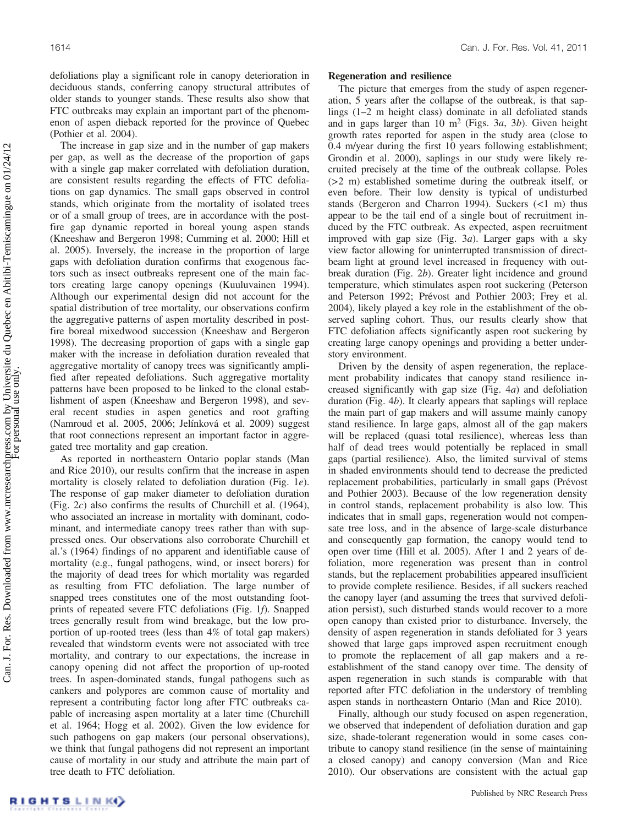defoliations play a significant role in canopy deterioration in deciduous stands, conferring canopy structural attributes of older stands to younger stands. These results also show that FTC outbreaks may explain an important part of the phenomenon of aspen dieback reported for the province of Quebec (Pothier et al. 2004).

The increase in gap size and in the number of gap makers per gap, as well as the decrease of the proportion of gaps with a single gap maker correlated with defoliation duration, are consistent results regarding the effects of FTC defoliations on gap dynamics. The small gaps observed in control stands, which originate from the mortality of isolated trees or of a small group of trees, are in accordance with the postfire gap dynamic reported in boreal young aspen stands (Kneeshaw and Bergeron 1998; Cumming et al. 2000; Hill et al. 2005). Inversely, the increase in the proportion of large gaps with defoliation duration confirms that exogenous factors such as insect outbreaks represent one of the main factors creating large canopy openings (Kuuluvainen 1994). Although our experimental design did not account for the spatial distribution of tree mortality, our observations confirm the aggregative patterns of aspen mortality described in postfire boreal mixedwood succession (Kneeshaw and Bergeron 1998). The decreasing proportion of gaps with a single gap maker with the increase in defoliation duration revealed that aggregative mortality of canopy trees was significantly amplified after repeated defoliations. Such aggregative mortality patterns have been proposed to be linked to the clonal establishment of aspen (Kneeshaw and Bergeron 1998), and several recent studies in aspen genetics and root grafting (Namroud et al. 2005, 2006; Jelínková et al. 2009) suggest that root connections represent an important factor in aggregated tree mortality and gap creation.

As reported in northeastern Ontario poplar stands (Man and Rice 2010), our results confirm that the increase in aspen mortality is closely related to defoliation duration (Fig. 1e). The response of gap maker diameter to defoliation duration (Fig. 2c) also confirms the results of Churchill et al. (1964), who associated an increase in mortality with dominant, codominant, and intermediate canopy trees rather than with suppressed ones. Our observations also corroborate Churchill et al.'s (1964) findings of no apparent and identifiable cause of mortality (e.g., fungal pathogens, wind, or insect borers) for the majority of dead trees for which mortality was regarded as resulting from FTC defoliation. The large number of snapped trees constitutes one of the most outstanding footprints of repeated severe FTC defoliations (Fig. 1f). Snapped trees generally result from wind breakage, but the low proportion of up-rooted trees (less than 4% of total gap makers) revealed that windstorm events were not associated with tree mortality, and contrary to our expectations, the increase in canopy opening did not affect the proportion of up-rooted trees. In aspen-dominated stands, fungal pathogens such as cankers and polypores are common cause of mortality and represent a contributing factor long after FTC outbreaks capable of increasing aspen mortality at a later time (Churchill et al. 1964; Hogg et al. 2002). Given the low evidence for such pathogens on gap makers (our personal observations), we think that fungal pathogens did not represent an important cause of mortality in our study and attribute the main part of tree death to FTC defoliation.

#### Regeneration and resilience

The picture that emerges from the study of aspen regeneration, 5 years after the collapse of the outbreak, is that saplings (1–2 m height class) dominate in all defoliated stands and in gaps larger than 10  $m<sup>2</sup>$  (Figs. 3*a*, 3*b*). Given height growth rates reported for aspen in the study area (close to 0.4 m/year during the first 10 years following establishment; Grondin et al. 2000), saplings in our study were likely recruited precisely at the time of the outbreak collapse. Poles (>2 m) established sometime during the outbreak itself, or even before. Their low density is typical of undisturbed stands (Bergeron and Charron 1994). Suckers (<1 m) thus appear to be the tail end of a single bout of recruitment induced by the FTC outbreak. As expected, aspen recruitment improved with gap size (Fig. 3a). Larger gaps with a sky view factor allowing for uninterrupted transmission of directbeam light at ground level increased in frequency with outbreak duration (Fig. 2b). Greater light incidence and ground temperature, which stimulates aspen root suckering (Peterson and Peterson 1992; Prévost and Pothier 2003; Frey et al. 2004), likely played a key role in the establishment of the observed sapling cohort. Thus, our results clearly show that FTC defoliation affects significantly aspen root suckering by creating large canopy openings and providing a better understory environment.

Driven by the density of aspen regeneration, the replacement probability indicates that canopy stand resilience increased significantly with gap size (Fig. 4a) and defoliation duration (Fig. 4b). It clearly appears that saplings will replace the main part of gap makers and will assume mainly canopy stand resilience. In large gaps, almost all of the gap makers will be replaced (quasi total resilience), whereas less than half of dead trees would potentially be replaced in small gaps (partial resilience). Also, the limited survival of stems in shaded environments should tend to decrease the predicted replacement probabilities, particularly in small gaps (Prévost and Pothier 2003). Because of the low regeneration density in control stands, replacement probability is also low. This indicates that in small gaps, regeneration would not compensate tree loss, and in the absence of large-scale disturbance and consequently gap formation, the canopy would tend to open over time (Hill et al. 2005). After 1 and 2 years of defoliation, more regeneration was present than in control stands, but the replacement probabilities appeared insufficient to provide complete resilience. Besides, if all suckers reached the canopy layer (and assuming the trees that survived defoliation persist), such disturbed stands would recover to a more open canopy than existed prior to disturbance. Inversely, the density of aspen regeneration in stands defoliated for 3 years showed that large gaps improved aspen recruitment enough to promote the replacement of all gap makers and a reestablishment of the stand canopy over time. The density of aspen regeneration in such stands is comparable with that reported after FTC defoliation in the understory of trembling aspen stands in northeastern Ontario (Man and Rice 2010).

Finally, although our study focused on aspen regeneration, we observed that independent of defoliation duration and gap size, shade-tolerant regeneration would in some cases contribute to canopy stand resilience (in the sense of maintaining a closed canopy) and canopy conversion (Man and Rice 2010). Our observations are consistent with the actual gap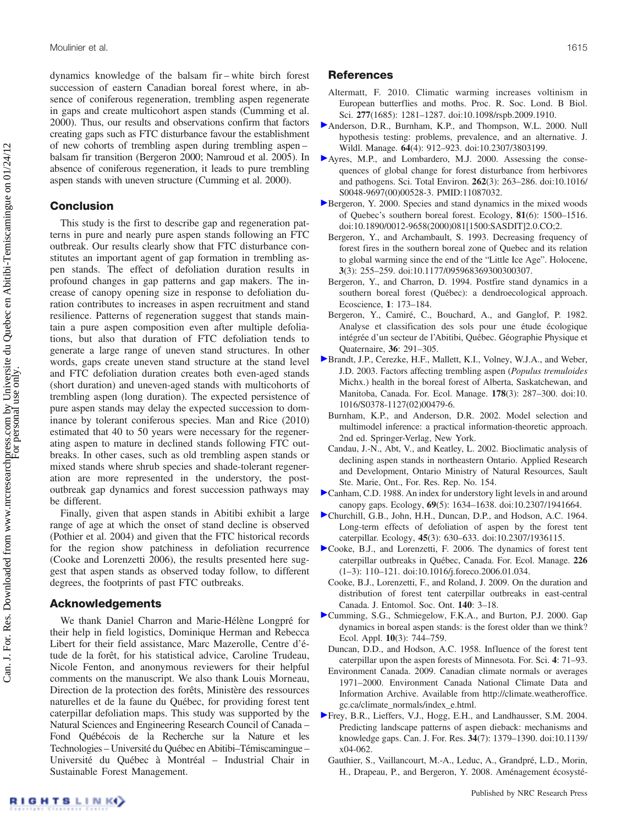RIGHTS LINKO

dynamics knowledge of the balsam fir – white birch forest succession of eastern Canadian boreal forest where, in absence of coniferous regeneration, trembling aspen regenerate in gaps and create multicohort aspen stands (Cumming et al. 2000). Thus, our results and observations confirm that factors creating gaps such as FTC disturbance favour the establishment of new cohorts of trembling aspen during trembling aspen – balsam fir transition (Bergeron 2000; Namroud et al. 2005). In absence of coniferous regeneration, it leads to pure trembling aspen stands with uneven structure (Cumming et al. 2000).

# Conclusion

This study is the first to describe gap and regeneration patterns in pure and nearly pure aspen stands following an FTC outbreak. Our results clearly show that FTC disturbance constitutes an important agent of gap formation in trembling aspen stands. The effect of defoliation duration results in profound changes in gap patterns and gap makers. The increase of canopy opening size in response to defoliation duration contributes to increases in aspen recruitment and stand resilience. Patterns of regeneration suggest that stands maintain a pure aspen composition even after multiple defoliations, but also that duration of FTC defoliation tends to generate a large range of uneven stand structures. In other words, gaps create uneven stand structure at the stand level and FTC defoliation duration creates both even-aged stands (short duration) and uneven-aged stands with multicohorts of trembling aspen (long duration). The expected persistence of pure aspen stands may delay the expected succession to dominance by tolerant coniferous species. Man and Rice (2010) estimated that 40 to 50 years were necessary for the regenerating aspen to mature in declined stands following FTC outbreaks. In other cases, such as old trembling aspen stands or mixed stands where shrub species and shade-tolerant regeneration are more represented in the understory, the postoutbreak gap dynamics and forest succession pathways may be different.

Finally, given that aspen stands in Abitibi exhibit a large range of age at which the onset of stand decline is observed (Pothier et al. 2004) and given that the FTC historical records for the region show patchiness in defoliation recurrence (Cooke and Lorenzetti 2006), the results presented here suggest that aspen stands as observed today follow, to different degrees, the footprints of past FTC outbreaks.

## Acknowledgements

We thank Daniel Charron and Marie-Hélène Longpré for their help in field logistics, Dominique Herman and Rebecca Libert for their field assistance, Marc Mazerolle, Centre d'étude de la forêt, for his statistical advice, Caroline Trudeau, Nicole Fenton, and anonymous reviewers for their helpful comments on the manuscript. We also thank Louis Morneau, Direction de la protection des forêts, Ministère des ressources naturelles et de la faune du Québec, for providing forest tent caterpillar defoliation maps. This study was supported by the Natural Sciences and Engineering Research Council of Canada – Fond Québécois de la Recherche sur la Nature et les Technologies – Université du Québec en Abitibi–Témiscamingue – Université du Québec à Montréal – Industrial Chair in Sustainable Forest Management.

## **References**

- Altermatt, F. 2010. Climatic warming increases voltinism in European butterflies and moths. Proc. R. Soc. Lond. B Biol. Sci. 277(1685): 1281–1287. doi:10.1098/rspb.2009.1910.
- Anderson, D.R., Burnham, K.P., and Thompson, W.L. 2000. Null hypothesis testing: problems, prevalence, and an alternative. J. Wildl. Manage. 64(4): 912–923. doi:10.2307/3803199.
- Ayres, M.P., and Lombardero, M.J. 2000. Assessing the consequences of global change for forest disturbance from herbivores and pathogens. Sci. Total Environ. 262(3): 263–286. doi:10.1016/ S0048-9697(00)00528-3. PMID:11087032.
- Bergeron, Y. 2000. Species and stand dynamics in the mixed woods of Quebec's southern boreal forest. Ecology, 81(6): 1500–1516. doi:10.1890/0012-9658(2000)081[1500:SASDIT]2.0.CO;2.
- Bergeron, Y., and Archambault, S. 1993. Decreasing frequency of forest fires in the southern boreal zone of Quebec and its relation to global warming since the end of the "Little Ice Age". Holocene, 3(3): 255–259. doi:10.1177/095968369300300307.
- Bergeron, Y., and Charron, D. 1994. Postfire stand dynamics in a southern boreal forest (Québec): a dendroecological approach. Ecoscience, 1: 173–184.
- Bergeron, Y., Camiré, C., Bouchard, A., and Ganglof, P. 1982. Analyse et classification des sols pour une étude écologique intégrée d'un secteur de l'Abitibi, Québec. Géographie Physique et Quaternaire, 36: 291–305.
- Brandt, J.P., Cerezke, H.F., Mallett, K.I., Volney, W.J.A., and Weber, J.D. 2003. Factors affecting trembling aspen (Populus tremuloides Michx.) health in the boreal forest of Alberta, Saskatchewan, and Manitoba, Canada. For. Ecol. Manage. 178(3): 287–300. doi:10. 1016/S0378-1127(02)00479-6.
- Burnham, K.P., and Anderson, D.R. 2002. Model selection and multimodel inference: a practical information-theoretic approach. 2nd ed. Springer-Verlag, New York.
- Candau, J.-N., Abt, V., and Keatley, L. 2002. Bioclimatic analysis of declining aspen stands in northeastern Ontario. Applied Research and Development, Ontario Ministry of Natural Resources, Sault Ste. Marie, Ont., For. Res. Rep. No. 154.
- Canham, C.D. 1988. An index for understory light levels in and around canopy gaps. Ecology, 69(5): 1634–1638. doi:10.2307/1941664.
- Churchill, G.B., John, H.H., Duncan, D.P., and Hodson, A.C. 1964. Long-term effects of defoliation of aspen by the forest tent caterpillar. Ecology, 45(3): 630–633. doi:10.2307/1936115.
- Cooke, B.J., and Lorenzetti, F. 2006. The dynamics of forest tent caterpillar outbreaks in Québec, Canada. For. Ecol. Manage. 226 (1–3): 110–121. doi:10.1016/j.foreco.2006.01.034.
- Cooke, B.J., Lorenzetti, F., and Roland, J. 2009. On the duration and distribution of forest tent caterpillar outbreaks in east-central Canada. J. Entomol. Soc. Ont. 140: 3–18.
- Cumming, S.G., Schmiegelow, F.K.A., and Burton, P.J. 2000. Gap dynamics in boreal aspen stands: is the forest older than we think? Ecol. Appl. 10(3): 744–759.
- Duncan, D.D., and Hodson, A.C. 1958. Influence of the forest tent caterpillar upon the aspen forests of Minnesota. For. Sci. 4: 71–93.
- Environment Canada. 2009. Canadian climate normals or averages 1971–2000. Environment Canada National Climate Data and Information Archive. Available from http://climate.weatheroffice. gc.ca/climate\_normals/index\_e.html.
- Frey, B.R., Lieffers, V.J., Hogg, E.H., and Landhausser, S.M. 2004. Predicting landscape patterns of aspen dieback: mechanisms and knowledge gaps. Can. J. For. Res. 34(7): 1379–1390. doi:10.1139/ x04-062.
- Gauthier, S., Vaillancourt, M.-A., Leduc, A., Grandpré, L.D., Morin, H., Drapeau, P., and Bergeron, Y. 2008. Aménagement écosysté-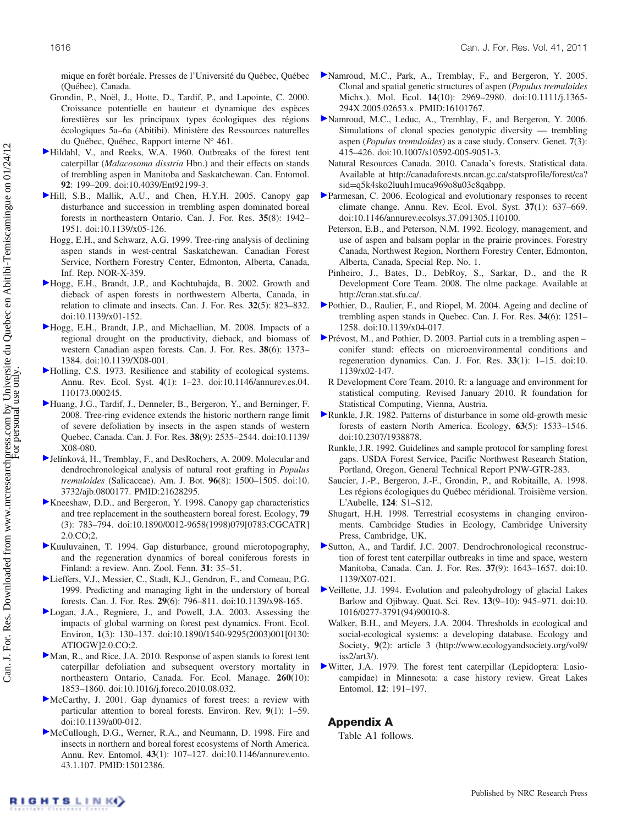mique en forêt boréale. Presses de l'Université du Québec, Québec (Québec), Canada.

- Grondin, P., Noël, J., Hotte, D., Tardif, P., and Lapointe, C. 2000. Croissance potentielle en hauteur et dynamique des espèces forestières sur les principaux types écologiques des régions écologiques 5a–6a (Abitibi). Ministère des Ressources naturelles du Québec, Québec, Rapport interne Nº 461.
- Hildahl, V., and Reeks, W.A. 1960. Outbreaks of the forest tent caterpillar (Malacosoma disstria Hbn.) and their effects on stands of trembling aspen in Manitoba and Saskatchewan. Can. Entomol. 92: 199–209. doi:10.4039/Ent92199-3.
- Hill, S.B., Mallik, A.U., and Chen, H.Y.H. 2005. Canopy gap disturbance and succession in trembling aspen dominated boreal forests in northeastern Ontario. Can. J. For. Res. 35(8): 1942– 1951. doi:10.1139/x05-126.
- Hogg, E.H., and Schwarz, A.G. 1999. Tree-ring analysis of declining aspen stands in west-central Saskatchewan. Canadian Forest Service, Northern Forestry Center, Edmonton, Alberta, Canada, Inf. Rep. NOR-X-359.
- Hogg, E.H., Brandt, J.P., and Kochtubajda, B. 2002. Growth and dieback of aspen forests in northwestern Alberta, Canada, in relation to climate and insects. Can. J. For. Res. 32(5): 823–832. doi:10.1139/x01-152.
- Hogg, E.H., Brandt, J.P., and Michaellian, M. 2008. Impacts of a regional drought on the productivity, dieback, and biomass of western Canadian aspen forests. Can. J. For. Res. 38(6): 1373– 1384. doi:10.1139/X08-001.
- Holling, C.S. 1973. Resilience and stability of ecological systems. Annu. Rev. Ecol. Syst. 4(1): 1–23. doi:10.1146/annurev.es.04. 110173.000245.
- Huang, J.G., Tardif, J., Denneler, B., Bergeron, Y., and Berninger, F. 2008. Tree-ring evidence extends the historic northern range limit of severe defoliation by insects in the aspen stands of western Quebec, Canada. Can. J. For. Res. 38(9): 2535–2544. doi:10.1139/ X08-080.
- Jelínková, H., Tremblay, F., and DesRochers, A. 2009. Molecular and dendrochronological analysis of natural root grafting in Populus tremuloides (Salicaceae). Am. J. Bot. 96(8): 1500–1505. doi:10. 3732/ajb.0800177. PMID:21628295.
- Kneeshaw, D.D., and Bergeron, Y. 1998. Canopy gap characteristics and tree replacement in the southeastern boreal forest. Ecology, 79 (3): 783–794. doi:10.1890/0012-9658(1998)079[0783:CGCATR] 2.0.CO;2.
- Kuuluvainen, T. 1994. Gap disturbance, ground microtopography, and the regeneration dynamics of boreal coniferous forests in Finland: a review. Ann. Zool. Fenn. 31: 35–51.
- Lieffers, V.J., Messier, C., Stadt, K.J., Gendron, F., and Comeau, P.G. 1999. Predicting and managing light in the understory of boreal forests. Can. J. For. Res. 29(6): 796–811. doi:10.1139/x98-165.
- Logan, J.A., Regniere, J., and Powell, J.A. 2003. Assessing the impacts of global warming on forest pest dynamics. Front. Ecol. Environ, 1(3): 130–137. doi:10.1890/1540-9295(2003)001[0130: ATIOGW]2.0.CO;2.
- Man, R., and Rice, J.A. 2010. Response of aspen stands to forest tent caterpillar defoliation and subsequent overstory mortality in northeastern Ontario, Canada. For. Ecol. Manage. 260(10): 1853–1860. doi:10.1016/j.foreco.2010.08.032.
- McCarthy, J. 2001. Gap dynamics of forest trees: a review with particular attention to boreal forests. Environ. Rev. 9(1): 1–59. doi:10.1139/a00-012.
- McCullough, D.G., Werner, R.A., and Neumann, D. 1998. Fire and insects in northern and boreal forest ecosystems of North America. Annu. Rev. Entomol. 43(1): 107–127. doi:10.1146/annurev.ento. 43.1.107. PMID:15012386.
- Namroud, M.C., Park, A., Tremblay, F., and Bergeron, Y. 2005. Clonal and spatial genetic structures of aspen (Populus tremuloides Michx.). Mol. Ecol. 14(10): 2969–2980. doi:10.1111/j.1365- 294X.2005.02653.x. PMID:16101767.
- Namroud, M.C., Leduc, A., Tremblay, F., and Bergeron, Y. 2006. Simulations of clonal species genotypic diversity — trembling aspen (Populus tremuloides) as a case study. Conserv. Genet. 7(3): 415–426. doi:10.1007/s10592-005-9051-3.
- Natural Resources Canada. 2010. Canada's forests. Statistical data. Available at http://canadaforests.nrcan.gc.ca/statsprofile/forest/ca? sid=q5k4sko2luuh1muca969o8u03c8qabpp.
- Parmesan, C. 2006. Ecological and evolutionary responses to recent climate change. Annu. Rev. Ecol. Evol. Syst. 37(1): 637–669. doi:10.1146/annurev.ecolsys.37.091305.110100.
	- Peterson, E.B., and Peterson, N.M. 1992. Ecology, management, and use of aspen and balsam poplar in the prairie provinces. Forestry Canada, Northwest Region, Northern Forestry Center, Edmonton, Alberta, Canada, Special Rep. No. 1.
- Pinheiro, J., Bates, D., DebRoy, S., Sarkar, D., and the R Development Core Team. 2008. The nlme package. Available at http://cran.stat.sfu.ca/.
- Pothier, D., Raulier, F., and Riopel, M. 2004. Ageing and decline of trembling aspen stands in Quebec. Can. J. For. Res. 34(6): 1251– 1258. doi:10.1139/x04-017.
- Prévost, M., and Pothier, D. 2003. Partial cuts in a trembling aspen conifer stand: effects on microenvironmental conditions and regeneration dynamics. Can. J. For. Res. 33(1): 1–15. doi:10. 1139/x02-147.
- R Development Core Team. 2010. R: a language and environment for statistical computing. Revised January 2010. R foundation for Statistical Computing, Vienna, Austria.
- Runkle, J.R. 1982. Patterns of disturbance in some old-growth mesic forests of eastern North America. Ecology, 63(5): 1533–1546. doi:10.2307/1938878.
- Runkle, J.R. 1992. Guidelines and sample protocol for sampling forest gaps. USDA Forest Service, Pacific Northwest Research Station, Portland, Oregon, General Technical Report PNW-GTR-283.
- Saucier, J.-P., Bergeron, J.-F., Grondin, P., and Robitaille, A. 1998. Les régions écologiques du Québec méridional. Troisième version. L'Aubelle, 124: S1–S12.
- Shugart, H.H. 1998. Terrestrial ecosystems in changing environments. Cambridge Studies in Ecology, Cambridge University Press, Cambridge, UK.
- Sutton, A., and Tardif, J.C. 2007. Dendrochronological reconstruction of forest tent caterpillar outbreaks in time and space, western Manitoba, Canada. Can. J. For. Res. 37(9): 1643–1657. doi:10. 1139/X07-021.
- Veillette, J.J. 1994. Evolution and paleohydrology of glacial Lakes Barlow and Ojibway. Quat. Sci. Rev. 13(9–10): 945–971. doi:10. 1016/0277-3791(94)90010-8.
	- Walker, B.H., and Meyers, J.A. 2004. Thresholds in ecological and social-ecological systems: a developing database. Ecology and Society, 9(2): article 3 (http://www.ecologyandsociety.org/vol9/ iss2/art3/).
- Witter, J.A. 1979. The forest tent caterpillar (Lepidoptera: Lasiocampidae) in Minnesota: a case history review. Great Lakes Entomol. 12: 191–197.

# Appendix A

Table A1 follows.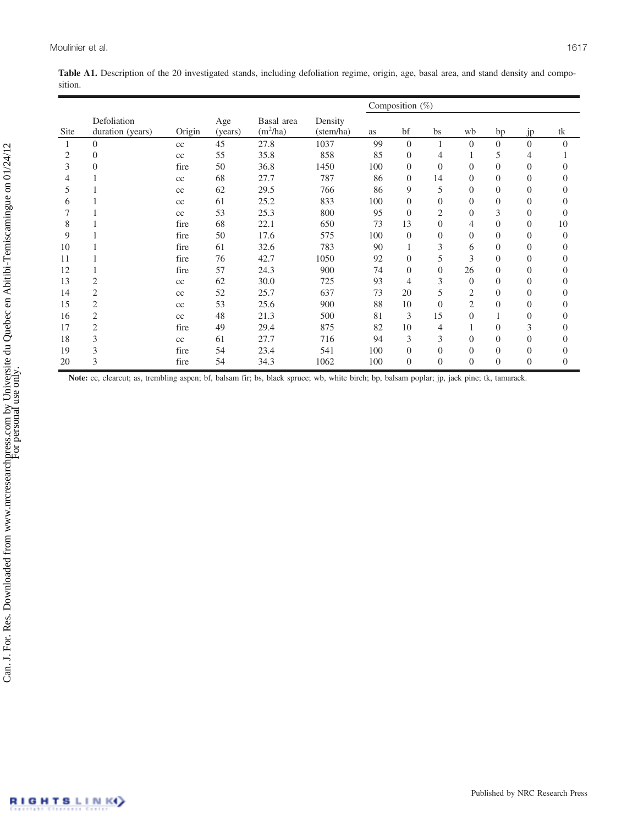Table A1. Description of the 20 investigated stands, including defoliation regime, origin, age, basal area, and stand density and composition.

|      |                                 |        |                |                          |                      | Composition $(\%)$ |                  |                  |                |          |                |                |
|------|---------------------------------|--------|----------------|--------------------------|----------------------|--------------------|------------------|------------------|----------------|----------|----------------|----------------|
| Site | Defoliation<br>duration (years) | Origin | Age<br>(years) | Basal area<br>$(m^2/ha)$ | Density<br>(stem/ha) | as                 | bf               | bs               | wb             | bp       | jp             | tk             |
| 1    | $\mathbf{0}$                    | cc     | 45             | 27.8                     | 1037                 | 99                 | $\theta$         | 1                | $\Omega$       | $\Omega$ | $\Omega$       | $\theta$       |
| 2    | $\Omega$                        | cc     | 55             | 35.8                     | 858                  | 85                 | $\mathbf{0}$     | 4                |                | 5        | 4              |                |
| 3    | $\Omega$                        | fire   | 50             | 36.8                     | 1450                 | 100                | $\overline{0}$   | $\theta$         | $\Omega$       | $\Omega$ | $\Omega$       | $\Omega$       |
| 4    |                                 | cc     | 68             | 27.7                     | 787                  | 86                 | $\overline{0}$   | 14               | $\Omega$       | $\Omega$ | $\Omega$       | $\Omega$       |
| 5    |                                 | cc     | 62             | 29.5                     | 766                  | 86                 | 9                | 5                | $\Omega$       | $\Omega$ | $\Omega$       | $\Omega$       |
| 6    |                                 | cc     | 61             | 25.2                     | 833                  | 100                | $\boldsymbol{0}$ | $\Omega$         | $\Omega$       | $\Omega$ | $\Omega$       | $\Omega$       |
|      |                                 | cc     | 53             | 25.3                     | 800                  | 95                 | $\mathbf{0}$     | $\overline{c}$   | $\Omega$       | 3        | $\Omega$       | $\Omega$       |
| 8    |                                 | fire   | 68             | 22.1                     | 650                  | 73                 | 13               | $\overline{0}$   | 4              | $\Omega$ | $\Omega$       | 10             |
| 9    |                                 | fire   | 50             | 17.6                     | 575                  | 100                | $\mathbf{0}$     | $\theta$         | $\Omega$       | $\Omega$ | $\Omega$       | $\Omega$       |
| 10   |                                 | fire   | 61             | 32.6                     | 783                  | 90                 | $\mathbf{1}$     | 3                | 6              | $\Omega$ | $\Omega$       | $\overline{0}$ |
| 11   |                                 | fire   | 76             | 42.7                     | 1050                 | 92                 | $\overline{0}$   | 5                | 3              | $\Omega$ | $\theta$       | $\Omega$       |
| 12   | 1                               | fire   | 57             | 24.3                     | 900                  | 74                 | $\boldsymbol{0}$ | $\boldsymbol{0}$ | 26             | $\Omega$ | $\overline{0}$ | $\Omega$       |
| 13   | $\overline{c}$                  | cc     | 62             | 30.0                     | 725                  | 93                 | $\overline{4}$   | 3                | $\Omega$       | $\Omega$ | $\Omega$       | $\Omega$       |
| 14   | $\overline{c}$                  | cc     | 52             | 25.7                     | 637                  | 73                 | 20               | 5                | $\overline{2}$ | $\Omega$ | $\Omega$       | $\Omega$       |
| 15   | $\overline{2}$                  | cc     | 53             | 25.6                     | 900                  | 88                 | 10               | $\theta$         | $\overline{2}$ | $\Omega$ | $\Omega$       | $\Omega$       |
| 16   | $\overline{2}$                  | cc     | 48             | 21.3                     | 500                  | 81                 | 3                | 15               | $\Omega$       |          | $\Omega$       | $\Omega$       |
| 17   | $\overline{c}$                  | fire   | 49             | 29.4                     | 875                  | 82                 | 10               | 4                |                | $\Omega$ | 3              | $\overline{0}$ |
| 18   | 3                               | cc     | 61             | 27.7                     | 716                  | 94                 | 3                | 3                | $\Omega$       | $\Omega$ | $\Omega$       | $\Omega$       |
| 19   | 3                               | fire   | 54             | 23.4                     | 541                  | 100                | $\boldsymbol{0}$ | $\theta$         | $\Omega$       | $\Omega$ | $\Omega$       | $\Omega$       |
| 20   | 3                               | fire   | 54             | 34.3                     | 1062                 | 100                | $\Omega$         | $\Omega$         | $\Omega$       | 0        | $\Omega$       | $\theta$       |

Note: cc, clearcut; as, trembling aspen; bf, balsam fir; bs, black spruce; wb, white birch; bp, balsam poplar; jp, jack pine; tk, tamarack.